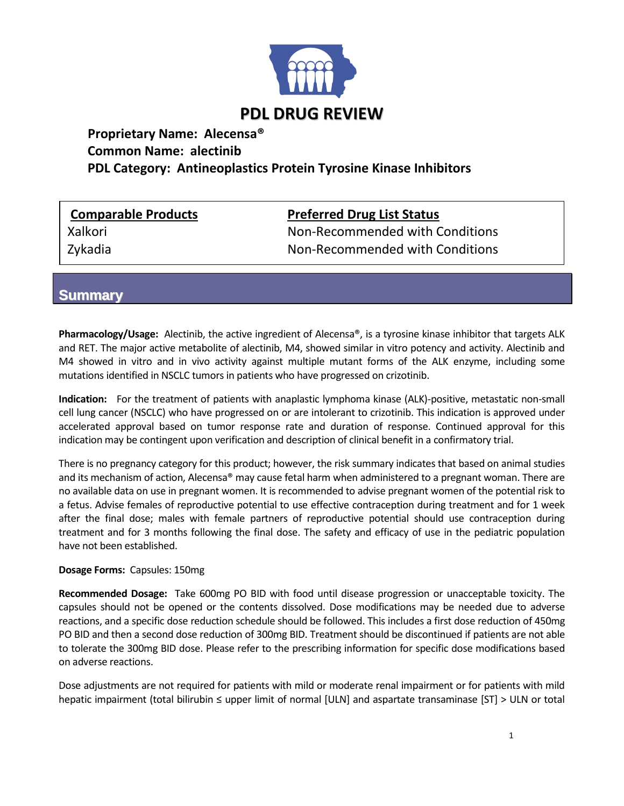

# **Proprietary Name: Alecensa® Common Name: alectinib PDL Category: Antineoplastics Protein Tyrosine Kinase Inhibitors**

### **Comparable Products Preferred Drug List Status**

Xalkori **Non-Recommended with Conditions** Zykadia Non-Recommended with Conditions

## **Summary**

**Pharmacology/Usage:** Alectinib, the active ingredient of Alecensa®, is a tyrosine kinase inhibitor that targets ALK and RET. The major active metabolite of alectinib, M4, showed similar in vitro potency and activity. Alectinib and M4 showed in vitro and in vivo activity against multiple mutant forms of the ALK enzyme, including some mutations identified in NSCLC tumors in patients who have progressed on crizotinib.

**Indication:** For the treatment of patients with anaplastic lymphoma kinase (ALK)-positive, metastatic non-small cell lung cancer (NSCLC) who have progressed on or are intolerant to crizotinib. This indication is approved under accelerated approval based on tumor response rate and duration of response. Continued approval for this indication may be contingent upon verification and description of clinical benefit in a confirmatory trial.

There is no pregnancy category for this product; however, the risk summary indicates that based on animal studies and its mechanism of action, Alecensa® may cause fetal harm when administered to a pregnant woman. There are no available data on use in pregnant women. It is recommended to advise pregnant women of the potential risk to a fetus. Advise females of reproductive potential to use effective contraception during treatment and for 1 week after the final dose; males with female partners of reproductive potential should use contraception during treatment and for 3 months following the final dose. The safety and efficacy of use in the pediatric population have not been established.

#### **Dosage Forms:** Capsules: 150mg

**Recommended Dosage:** Take 600mg PO BID with food until disease progression or unacceptable toxicity. The capsules should not be opened or the contents dissolved. Dose modifications may be needed due to adverse reactions, and a specific dose reduction schedule should be followed. This includes a first dose reduction of 450mg PO BID and then a second dose reduction of 300mg BID. Treatment should be discontinued if patients are not able to tolerate the 300mg BID dose. Please refer to the prescribing information for specific dose modifications based on adverse reactions.

Dose adjustments are not required for patients with mild or moderate renal impairment or for patients with mild hepatic impairment (total bilirubin ≤ upper limit of normal [ULN] and aspartate transaminase [ST] ˃ ULN or total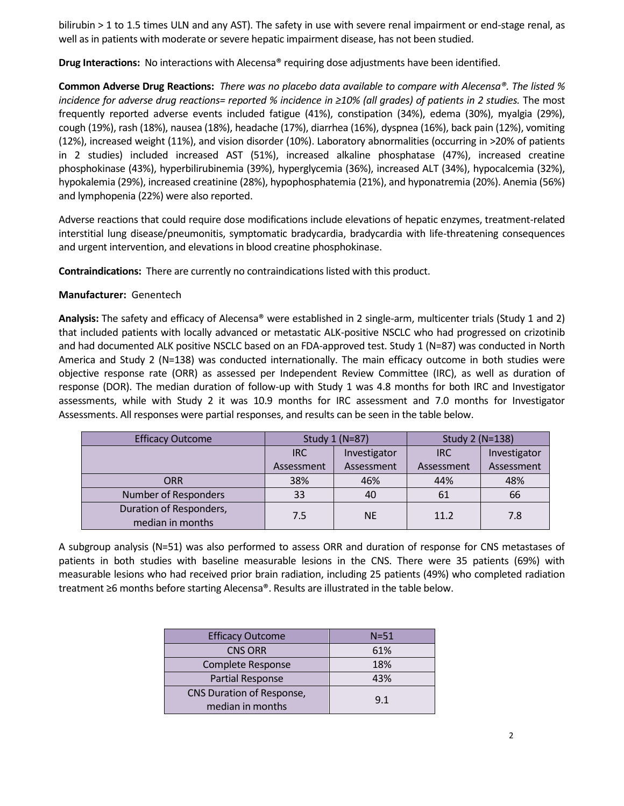bilirubin > 1 to 1.5 times ULN and any AST). The safety in use with severe renal impairment or end-stage renal, as well as in patients with moderate or severe hepatic impairment disease, has not been studied.

**Drug Interactions:** No interactions with Alecensa® requiring dose adjustments have been identified.

**Common Adverse Drug Reactions:** *There was no placebo data available to compare with Alecensa®. The listed % incidence for adverse drug reactions= reported % incidence in ≥10% (all grades) of patients in 2 studies.* The most frequently reported adverse events included fatigue (41%), constipation (34%), edema (30%), myalgia (29%), cough (19%), rash (18%), nausea (18%), headache (17%), diarrhea (16%), dyspnea (16%), back pain (12%), vomiting (12%), increased weight (11%), and vision disorder (10%). Laboratory abnormalities (occurring in ˃20% of patients in 2 studies) included increased AST (51%), increased alkaline phosphatase (47%), increased creatine phosphokinase (43%), hyperbilirubinemia (39%), hyperglycemia (36%), increased ALT (34%), hypocalcemia (32%), hypokalemia (29%), increased creatinine (28%), hypophosphatemia (21%), and hyponatremia (20%). Anemia (56%) and lymphopenia (22%) were also reported.

Adverse reactions that could require dose modifications include elevations of hepatic enzymes, treatment-related interstitial lung disease/pneumonitis, symptomatic bradycardia, bradycardia with life-threatening consequences and urgent intervention, and elevations in blood creatine phosphokinase.

**Contraindications:** There are currently no contraindications listed with this product.

#### **Manufacturer:** Genentech

**Analysis:** The safety and efficacy of Alecensa® were established in 2 single-arm, multicenter trials (Study 1 and 2) that included patients with locally advanced or metastatic ALK-positive NSCLC who had progressed on crizotinib and had documented ALK positive NSCLC based on an FDA-approved test. Study 1 (N=87) was conducted in North America and Study 2 (N=138) was conducted internationally. The main efficacy outcome in both studies were objective response rate (ORR) as assessed per Independent Review Committee (IRC), as well as duration of response (DOR). The median duration of follow-up with Study 1 was 4.8 months for both IRC and Investigator assessments, while with Study 2 it was 10.9 months for IRC assessment and 7.0 months for Investigator Assessments. All responses were partial responses, and results can be seen in the table below.

| <b>Efficacy Outcome</b>                     | Study 1 (N=87) |              | Study 2 (N=138) |              |
|---------------------------------------------|----------------|--------------|-----------------|--------------|
|                                             | <b>IRC</b>     | Investigator | IRC             | Investigator |
|                                             | Assessment     | Assessment   | Assessment      | Assessment   |
| ORR                                         | 38%            | 46%          | 44%             | 48%          |
| Number of Responders                        | 33             | 40           | 61              | 66           |
| Duration of Responders,<br>median in months | 7.5            | <b>NE</b>    | 11.2            | 7.8          |

A subgroup analysis (N=51) was also performed to assess ORR and duration of response for CNS metastases of patients in both studies with baseline measurable lesions in the CNS. There were 35 patients (69%) with measurable lesions who had received prior brain radiation, including 25 patients (49%) who completed radiation treatment ≥6 months before starting Alecensa®. Results are illustrated in the table below.

| <b>Efficacy Outcome</b>   | $N = 51$ |  |
|---------------------------|----------|--|
| <b>CNS ORR</b>            | 61%      |  |
| Complete Response         | 18%      |  |
| Partial Response          | 43%      |  |
| CNS Duration of Response, | 9.1      |  |
| median in months          |          |  |